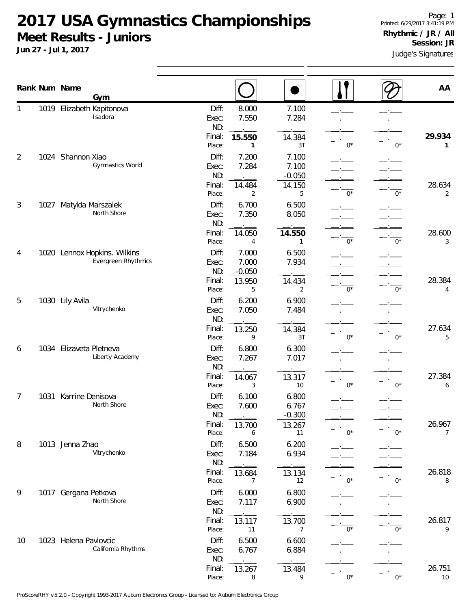**2017 USA Gymnastics Championships Meet Results - Juniors**

**Jun 27 - Jul 1, 2017**

|                |      | Rank Num Name           | Gym                                                 |                                           |                                           |                                            |       |       | AA                     |
|----------------|------|-------------------------|-----------------------------------------------------|-------------------------------------------|-------------------------------------------|--------------------------------------------|-------|-------|------------------------|
|                |      |                         | 1019 Elizabeth Kapitonova<br>Isadora                | Diff:<br>Exec:<br>ND:<br>Final:           | 8.000<br>7.550<br>15.550                  | 7.100<br>7.284<br>14.384                   |       |       | 29.934                 |
| $\overline{2}$ |      | 1024 Shannon Xiao       | Gymnastics World                                    | Place:<br>Diff:<br>Exec:<br>ND:<br>Final: | 1<br>7.200<br>7.284<br>14.484             | 3T<br>7.100<br>7.100<br>$-0.050$<br>14.150 | $0^*$ | $0^*$ | $\mathbf{1}$<br>28.634 |
| 3              | 1027 | Matylda Marszalek       | North Shore                                         | Place:<br>Diff:<br>Exec:<br>ND:<br>Final: | 2<br>6.700<br>7.350<br>14.050             | 5<br>6.500<br>8.050<br>14.550              | $0^*$ | $0^*$ | 2<br>28.600            |
| 4              |      |                         | 1020 Lennox Hopkins. Wilkins<br>Evergreen Rhythmics | Place:<br>Diff:<br>Exec:<br>ND:<br>Final: | 4<br>7.000<br>7.000<br>$-0.050$<br>13.950 | 1<br>6.500<br>7.934<br>14.434              | $0^*$ | $0^*$ | 3<br>28.384            |
| 5              |      | 1030 Lily Avila         | Vitrychenko                                         | Place:<br>Diff:<br>Exec:<br>ND:<br>Final: | 5<br>6.200<br>7.050<br>13.250             | 2<br>6.900<br>7.484<br>14.384              | $0^*$ | $0^*$ | 4<br>27.634            |
| 6              |      | 1034 Elizaveta Pletneva | Liberty Academy                                     | Place:<br>Diff:<br>Exec:<br>ND:<br>Final: | 9<br>6.800<br>7.267<br>14.067             | 3T<br>6.300<br>7.017<br>13.317             | $0^*$ | $0^*$ | 5<br>27.384            |
| 7              | 1031 | Karrine Denisova        | North Shore                                         | Place:<br>Diff:<br>Exec:<br>ND:<br>Final: | 3<br>6.100<br>7.600<br>13.700             | 10<br>6.800<br>6.767<br>$-0.300$<br>13.267 | $0^*$ | $0^*$ | 6<br>26.967            |
| 8              |      | 1013 Jenna Zhao         | Vitrychenko                                         | Place:<br>Diff:<br>Exec:<br>ND:<br>Final: | 6<br>6.500<br>7.184<br>13.684             | 11<br>6.200<br>6.934<br>13.134             | $0^*$ | $0^*$ | 7<br>26.818            |
| 9              |      | 1017 Gergana Petkova    | North Shore                                         | Place:<br>Diff:<br>Exec:<br>ND:<br>Final: | 7<br>6.000<br>7.117<br>13.117             | 12<br>6.800<br>6.900<br>13.700             | $0^*$ | $0^*$ | 8<br>26.817            |
| 10             |      | 1023 Helena Pavlovcic   | California Rhythms                                  | Place:<br>Diff:<br>Exec:<br>ND:<br>Final: | 11<br>6.500<br>6.767<br>13.267            | $\overline{7}$<br>6.600<br>6.884<br>13.484 | $0^*$ | $0^*$ | 9<br>26.751            |
|                |      |                         |                                                     | Place:                                    | 8                                         | 9                                          | $0^*$ | $0^*$ | 10                     |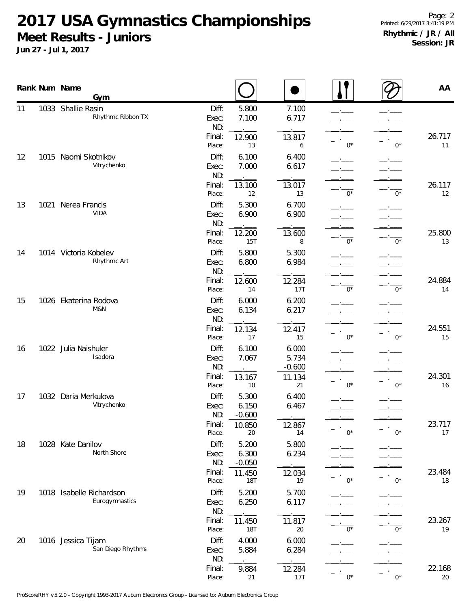## **2017 USA Gymnastics Championships Meet Results - Juniors**

**Jun 27 - Jul 1, 2017**

|    |      | Rank Num Name<br>Gym                       |                                 |                                  |                                      |       |              | AA           |
|----|------|--------------------------------------------|---------------------------------|----------------------------------|--------------------------------------|-------|--------------|--------------|
| 11 | 1033 | Shallie Rasin<br>Rhythmic Ribbon TX        | Diff:<br>Exec:<br>ND:           | 5.800<br>7.100                   | 7.100<br>6.717                       |       |              |              |
|    |      |                                            | Final:<br>Place:                | 12.900<br>13                     | 13.817<br>6                          | $0^*$ | $0^*$        | 26.717<br>11 |
| 12 |      | 1015 Naomi Skotnikov<br>Vitrychenko        | Diff:<br>Exec:<br>ND:           | 6.100<br>7.000                   | 6.400<br>6.617                       |       |              |              |
|    |      |                                            | Final:<br>Place:                | 13.100<br>12                     | 13.017<br>13                         | $0^*$ | $0^*$        | 26.117<br>12 |
| 13 | 1021 | Nerea Francis<br><b>VIDA</b>               | Diff:<br>Exec:<br>ND:           | 5.300<br>6.900                   | 6.700<br>6.900                       |       |              |              |
|    |      |                                            | Final:<br>Place:                | 12.200<br>15T                    | 13.600<br>8                          | $0^*$ | $0^*$        | 25.800<br>13 |
| 14 |      | 1014 Victoria Kobelev<br>Rhythmic Art      | Diff:<br>Exec:<br>ND:           | 5.800<br>6.800                   | 5.300<br>6.984                       |       |              |              |
|    |      |                                            | Final:<br>Place:                | 12.600<br>14                     | 12.284<br>17T                        | $0^*$ | $0^*$        | 24.884<br>14 |
| 15 |      | 1026 Ekaterina Rodova<br>M&N               | Diff:<br>Exec:<br>ND:           | 6.000<br>6.134                   | 6.200<br>6.217                       |       |              |              |
|    |      |                                            | Final:<br>Place:                | 12.134<br>17                     | 12.417<br>15                         | $0^*$ | $0^*$        | 24.551<br>15 |
| 16 |      | 1022 Julia Naishuler<br>Isadora            | Diff:<br>Exec:<br>ND:<br>Final: | 6.100<br>7.067<br>13.167         | 6.000<br>5.734<br>$-0.600$<br>11.134 |       |              | 24.301       |
| 17 |      | 1032 Daria Merkulova<br>Vitrychenko        | Place:<br>Diff:<br>Exec:<br>ND: | 10<br>5.300<br>6.150<br>$-0.600$ | 21<br>6.400<br>6.467                 | $0^*$ | $0^*$<br>-'- | 16           |
|    |      |                                            | Final:<br>Place:                | 10.850<br>20                     | 12.867<br>14                         | $0^*$ | $0^*$        | 23.717<br>17 |
| 18 |      | 1028 Kate Danilov<br>North Shore           | Diff:<br>Exec:<br>ND:           | 5.200<br>6.300<br>$-0.050$       | 5.800<br>6.234                       |       |              |              |
|    |      |                                            | Final:<br>Place:                | 11.450<br>18T                    | 12.034<br>19                         | $0^*$ | $0^*$        | 23.484<br>18 |
| 19 |      | 1018 Isabelle Richardson<br>Eurogymnastics | Diff:<br>Exec:<br>ND:           | 5.200<br>6.250                   | 5.700<br>6.117                       |       |              |              |
|    |      |                                            | Final:<br>Place:                | 11.450<br><b>18T</b>             | 11.817<br>20                         | $0^*$ | $0^*$        | 23.267<br>19 |
| 20 |      | 1016 Jessica Tijam<br>San Diego Rhythms    | Diff:<br>Exec:<br>ND:           | 4.000<br>5.884                   | 6.000<br>6.284                       |       |              |              |
|    |      |                                            | Final:<br>Place:                | 9.884<br>21                      | 12.284<br>17T                        | $0*$  | $0^*$        | 22.168<br>20 |